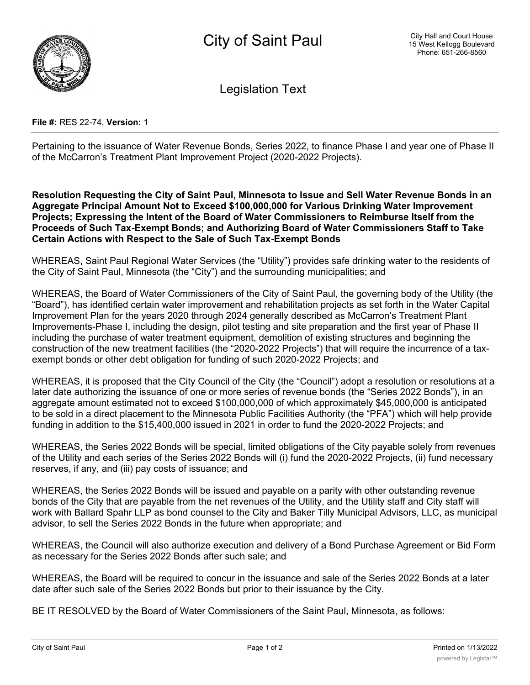

Legislation Text

## **File #:** RES 22-74, **Version:** 1

Pertaining to the issuance of Water Revenue Bonds, Series 2022, to finance Phase I and year one of Phase II of the McCarron's Treatment Plant Improvement Project (2020-2022 Projects).

**Resolution Requesting the City of Saint Paul, Minnesota to Issue and Sell Water Revenue Bonds in an Aggregate Principal Amount Not to Exceed \$100,000,000 for Various Drinking Water Improvement Projects; Expressing the Intent of the Board of Water Commissioners to Reimburse Itself from the Proceeds of Such Tax-Exempt Bonds; and Authorizing Board of Water Commissioners Staff to Take Certain Actions with Respect to the Sale of Such Tax-Exempt Bonds**

WHEREAS, Saint Paul Regional Water Services (the "Utility") provides safe drinking water to the residents of the City of Saint Paul, Minnesota (the "City") and the surrounding municipalities; and

WHEREAS, the Board of Water Commissioners of the City of Saint Paul, the governing body of the Utility (the "Board"), has identified certain water improvement and rehabilitation projects as set forth in the Water Capital Improvement Plan for the years 2020 through 2024 generally described as McCarron's Treatment Plant Improvements-Phase I, including the design, pilot testing and site preparation and the first year of Phase II including the purchase of water treatment equipment, demolition of existing structures and beginning the construction of the new treatment facilities (the "2020-2022 Projects") that will require the incurrence of a taxexempt bonds or other debt obligation for funding of such 2020-2022 Projects; and

WHEREAS, it is proposed that the City Council of the City (the "Council") adopt a resolution or resolutions at a later date authorizing the issuance of one or more series of revenue bonds (the "Series 2022 Bonds"), in an aggregate amount estimated not to exceed \$100,000,000 of which approximately \$45,000,000 is anticipated to be sold in a direct placement to the Minnesota Public Facilities Authority (the "PFA") which will help provide funding in addition to the \$15,400,000 issued in 2021 in order to fund the 2020-2022 Projects; and

WHEREAS, the Series 2022 Bonds will be special, limited obligations of the City payable solely from revenues of the Utility and each series of the Series 2022 Bonds will (i) fund the 2020-2022 Projects, (ii) fund necessary reserves, if any, and (iii) pay costs of issuance; and

WHEREAS, the Series 2022 Bonds will be issued and payable on a parity with other outstanding revenue bonds of the City that are payable from the net revenues of the Utility, and the Utility staff and City staff will work with Ballard Spahr LLP as bond counsel to the City and Baker Tilly Municipal Advisors, LLC, as municipal advisor, to sell the Series 2022 Bonds in the future when appropriate; and

WHEREAS, the Council will also authorize execution and delivery of a Bond Purchase Agreement or Bid Form as necessary for the Series 2022 Bonds after such sale; and

WHEREAS, the Board will be required to concur in the issuance and sale of the Series 2022 Bonds at a later date after such sale of the Series 2022 Bonds but prior to their issuance by the City.

BE IT RESOLVED by the Board of Water Commissioners of the Saint Paul, Minnesota, as follows: